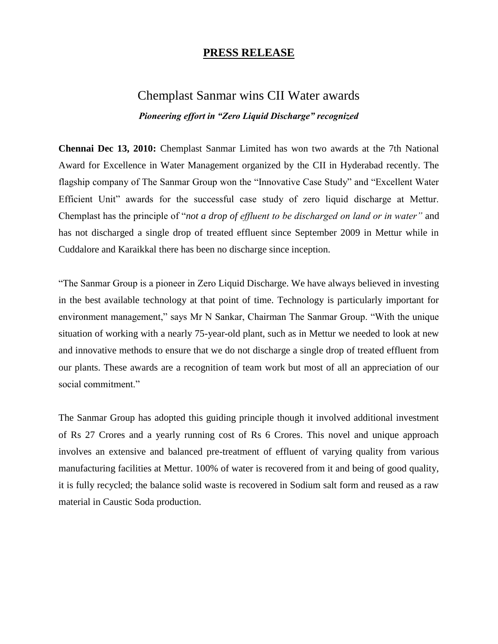## **PRESS RELEASE**

## Chemplast Sanmar wins CII Water awards *Pioneering effort in "Zero Liquid Discharge" recognized*

**Chennai Dec 13, 2010:** Chemplast Sanmar Limited has won two awards at the 7th National Award for Excellence in Water Management organized by the CII in Hyderabad recently. The flagship company of The Sanmar Group won the "Innovative Case Study" and "Excellent Water Efficient Unit" awards for the successful case study of zero liquid discharge at Mettur. Chemplast has the principle of "*not a drop of effluent to be discharged on land or in water"* and has not discharged a single drop of treated effluent since September 2009 in Mettur while in Cuddalore and Karaikkal there has been no discharge since inception.

"The Sanmar Group is a pioneer in Zero Liquid Discharge. We have always believed in investing in the best available technology at that point of time. Technology is particularly important for environment management," says Mr N Sankar, Chairman The Sanmar Group. "With the unique situation of working with a nearly 75-year-old plant, such as in Mettur we needed to look at new and innovative methods to ensure that we do not discharge a single drop of treated effluent from our plants. These awards are a recognition of team work but most of all an appreciation of our social commitment."

The Sanmar Group has adopted this guiding principle though it involved additional investment of Rs 27 Crores and a yearly running cost of Rs 6 Crores. This novel and unique approach involves an extensive and balanced pre-treatment of effluent of varying quality from various manufacturing facilities at Mettur. 100% of water is recovered from it and being of good quality, it is fully recycled; the balance solid waste is recovered in Sodium salt form and reused as a raw material in Caustic Soda production.